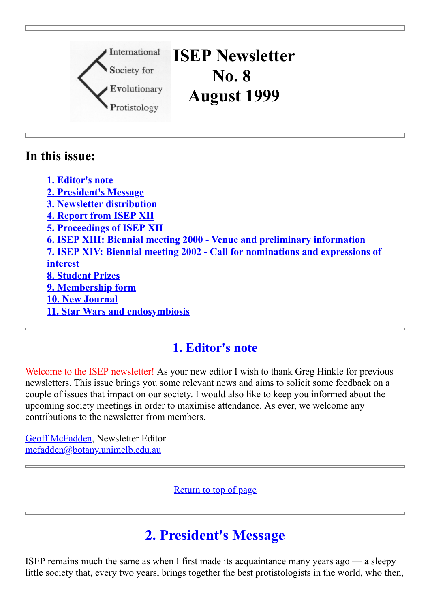

## **In this issue:**

**1. [Editor's](http://megasun.bch.umontreal.ca/isep/news8.html#Editor) note 2. [President's](http://megasun.bch.umontreal.ca/isep/news8.html#Pres) Message 3. Newsletter [distribution](http://megasun.bch.umontreal.ca/isep/news8.html#News) 4. [Report](http://megasun.bch.umontreal.ca/isep/news8.html#1998) from ISEP XII 5. [Proceedings](http://megasun.bch.umontreal.ca/isep/news8.html#ISEP12) of ISEP XII 6. ISEP XIII: Biennial meeting 2000 - Venue and preliminary [information](http://megasun.bch.umontreal.ca/isep/news8.html#2000) 7. ISEP XIV: Biennial meeting 2002 - Call for [nominations](http://megasun.bch.umontreal.ca/isep/news8.html#2002) and expressions of interest 8. [Student](http://megasun.bch.umontreal.ca/isep/news8.html#Prize) Prizes 9. [Membership](http://megasun.bch.umontreal.ca/isep/news8.html#Member) form 10. New [Journal](http://megasun.bch.umontreal.ca/isep/news8.html#IJSB) 11. Star Wars and [endosymbiosis](http://megasun.bch.umontreal.ca/isep/news8.html#War)**

## **1. Editor's note**

Welcome to the ISEP newsletter! As your new editor I wish to thank Greg Hinkle for previous newsletters. This issue brings you some relevant news and aims to solicit some feedback on a couple of issues that impact on our society. I would also like to keep you informed about the upcoming society meetings in order to maximise attendance. As ever, we welcome any contributions to the newsletter from members.

[Geoff McFadden](http://megasun.bch.umontreal.ca/isep/officers00.html#McFadden), Newsletter Editor [mcfadden@botany.unimelb.edu.au](mailto:mcfadden@botany.unimelb.edu.au)

[Return to top of page](http://megasun.bch.umontreal.ca/isep/news8.html#top)

# **2. President's Message**

ISEP remains much the same as when I first made its acquaintance many years ago — a sleepy little society that, every two years, brings together the best protistologists in the world, who then,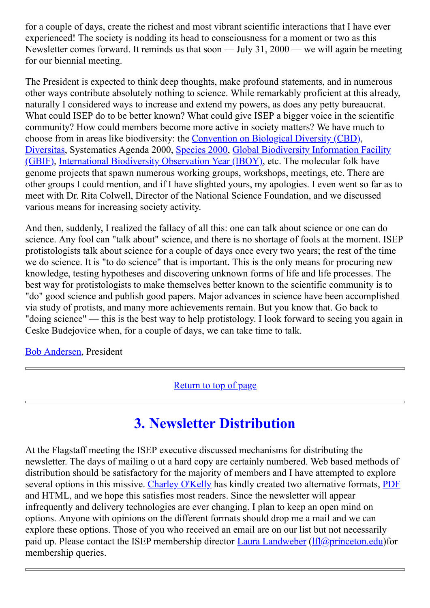for a couple of days, create the richest and most vibrant scientific interactions that I have ever experienced! The society is nodding its head to consciousness for a moment or two as this Newsletter comes forward. It reminds us that soon — July 31, 2000 — we will again be meeting for our biennial meeting.

The President is expected to think deep thoughts, make profound statements, and in numerous other ways contribute absolutely nothing to science. While remarkably proficient at this already, naturally I considered ways to increase and extend my powers, as does any petty bureaucrat. What could ISEP do to be better known? What could give ISEP a bigger voice in the scientific community? How could members become more active in society matters? We have much to choose from in areas like biodiversity: the [Convention on Biological Diversity \(CBD\),](http://www.biodiv.org/) [Diversitas,](http://www.icsu.org/DIVERSITAS/About/index.html) Systematics Agenda 2000, [Species 2000](http://www.sp2000.org/), [Global Biodiversity Information Facility](http://www.york.biosis.org/gbif/) [\(GBIF\),](http://www.eionet.eu.int/gbif/) [International Biodiversity Observation Year \(IBOY\),](http://www.icsu.org/DIVERSITAS/Iboy/index.html) etc. The molecular folk have genome projects that spawn numerous working groups, workshops, meetings, etc. There are other groups I could mention, and if I have slighted yours, my apologies. I even went so far as to meet with Dr. Rita Colwell, Director of the National Science Foundation, and we discussed various means for increasing society activity.

And then, suddenly, I realized the fallacy of all this: one can talk about science or one can do science. Any fool can "talk about" science, and there is no shortage of fools at the moment. ISEP protistologists talk about science for a couple of days once every two years; the rest of the time we do science. It is "to do science" that is important. This is the only means for procuring new knowledge, testing hypotheses and discovering unknown forms of life and life processes. The best way for protistologists to make themselves better known to the scientific community is to "do" good science and publish good papers. Major advances in science have been accomplished via study of protists, and many more achievements remain. But you know that. Go back to "doing science" — this is the best way to help protistology. I look forward to seeing you again in Ceske Budejovice when, for a couple of days, we can take time to talk.

#### [Bob Andersen](http://megasun.bch.umontreal.ca/isep/officers00.html#Andersen), President

[Return to top of page](http://megasun.bch.umontreal.ca/isep/news8.html#top)

# **3. Newsletter Distribution**

At the Flagstaff meeting the ISEP executive discussed mechanisms for distributing the newsletter. The days of mailing o ut a hard copy are certainly numbered. Web based methods of distribution should be satisfactory for the majority of members and I have attempted to explore several options in this missive. [Charley O'Kelly](http://megasun.bch.umontreal.ca/protists/cjocv.html) has kindly created two alternative formats, [PDF](http://megasun.bch.umontreal.ca/isep/news8.pdf) and HTML, and we hope this satisfies most readers. Since the newsletter will appear infrequently and delivery technologies are ever changing, I plan to keep an open mind on options. Anyone with opinions on the different formats should drop me a mail and we can explore these options. Those of you who received an email are on our list but not necessarily paid up. Please contact the ISEP membership director [Laura Landweber](http://megasun.bch.umontreal.ca/isep/officers00.html#Landweber)  $(If  $(a)$  is a probability of  $a$ ) for$ membership queries.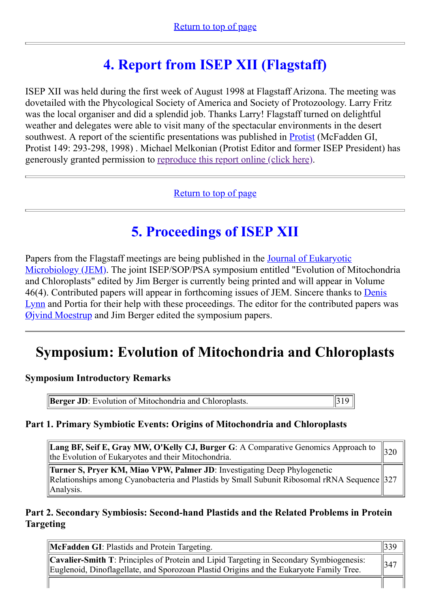# **4. Report from ISEP XII (Flagstaff)**

ISEP XII was held during the first week of August 1998 at Flagstaff Arizona. The meeting was dovetailed with the Phycological Society of America and Society of Protozoology. Larry Fritz was the local organiser and did a splendid job. Thanks Larry! Flagstaff turned on delightful weather and delegates were able to visit many of the spectacular environments in the desert southwest. A report of the scientific presentations was published in **Protist** (McFadden GI, Protist 149: 293-298, 1998) . Michael Melkonian (Protist Editor and former ISEP President) has generously granted permission to [reproduce this report online \(click here\).](http://megasun.bch.umontreal.ca/isep/protista.html)

[Return to top of page](http://megasun.bch.umontreal.ca/isep/news8.html#top)

# **5. Proceedings of ISEP XII**

[Papers from the Flagstaff meetings are being published in the Journal of Eukaryotic](http://www.jeukmic.org/) Microbiology (JEM). The joint ISEP/SOP/PSA symposium entitled "Evolution of Mitochondria and Chloroplasts" edited by Jim Berger is currently being printed and will appear in Volume [46\(4\). Contributed papers will appear in forthcoming issues of JEM. Sincere thanks to Denis](http://megasun.bch.umontreal.ca/isep/officers00.html#Lynn) Lynn and Portia for their help with these proceedings. The editor for the contributed papers was  $Q$  *ivind Moestrup* and Jim Berger edited the symposium papers.

# **Symposium: Evolution of Mitochondria and Chloroplasts**

#### **Symposium Introductory Remarks**

**Berger JD**: Evolution of Mitochondria and Chloroplasts.  $\parallel$ 319

## **Part 1. Primary Symbiotic Events: Origins of Mitochondria and Chloroplasts**

**Lang BF, Seif E, Gray MW, O'Kelly CJ, Burger G**: A Comparative Genomics Approach to **Eang Br, Sen E, Gray MW, O Reny CJ, Burger G**. A Comparative Genomics Approach to  $\begin{bmatrix} 320 \\ 320 \end{bmatrix}$ 

**Turner S, Pryer KM, Miao VPW, Palmer JD**: Investigating Deep Phylogenetic Relationships among Cyanobacteria and Plastids by Small Subunit Ribosomal rRNA Sequence 327 Analysis.

### **Part 2. Secondary Symbiosis: Second-hand Plastids and the Related Problems in Protein Targeting**

| <b>McFadden GI:</b> Plastids and Protein Targeting.                                                                                                                                       | 1220<br>$II$ 335 |
|-------------------------------------------------------------------------------------------------------------------------------------------------------------------------------------------|------------------|
| <b>Cavalier-Smith T:</b> Principles of Protein and Lipid Targeting in Secondary Symbiogenesis:<br>Euglenoid, Dinoflagellate, and Sporozoan Plastid Origins and the Eukaryote Family Tree. | $\parallel$ 347  |
|                                                                                                                                                                                           |                  |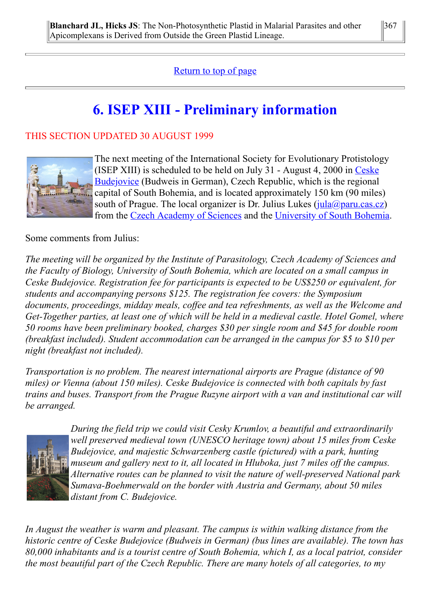## [Return to top of page](http://megasun.bch.umontreal.ca/isep/news8.html#top)

# **6. ISEP XIII - Preliminary information**

### THIS SECTION UPDATED 30 AUGUST 1999



The next meeting of the International Society for Evolutionary Protistology (ISEP XIII) is scheduled to be held on July 31 - August 4, 2000 in Ceske [Budejovice \(Budweis in German\), Czech Republic, which is the regional](http://www.prague.org/doma/budejice.html) capital of South Bohemia, and is located approximately 150 km (90 miles) south of Prague. The local organizer is Dr. Julius Lukes  $(i_{\text{ula}}(\hat{a})$  paru.cas.cz) from the [Czech Academy of Sciences](http://www.paru.cas.cz/) and the [University of South Bohemia](http://ftp.jcu.cz/ju/welcome_gb.html).

Some comments from Julius:

*The meeting will be organized by the Institute of Parasitology, Czech Academy of Sciences and the Faculty of Biology, University of South Bohemia, which are located on a small campus in Ceske Budejovice. Registration fee for participants is expected to be US\$250 or equivalent, for students and accompanying persons \$125. The registration fee covers: the Symposium documents, proceedings, midday meals, coffee and tea refreshments, as well as the Welcome and Get-Together parties, at least one of which will be held in a medieval castle. Hotel Gomel, where 50 rooms have been preliminary booked, charges \$30 per single room and \$45 for double room (breakfast included). Student accommodation can be arranged in the campus for \$5 to \$10 per night (breakfast not included).*

*Transportation is no problem. The nearest international airports are Prague (distance of 90 miles) or Vienna (about 150 miles). Ceske Budejovice is connected with both capitals by fast trains and buses. Transport from the Prague Ruzyne airport with a van and institutional car will be arranged.*



*During the field trip we could visit Cesky Krumlov, a beautiful and extraordinarily well preserved medieval town (UNESCO heritage town) about 15 miles from Ceske Budejovice, and majestic Schwarzenberg castle (pictured) with a park, hunting museum and gallery next to it, all located in Hluboka, just 7 miles off the campus. Alternative routes can be planned to visit the nature of well-preserved National park Sumava-Boehmerwald on the border with Austria and Germany, about 50 miles distant from C. Budejovice.*

*In August the weather is warm and pleasant. The campus is within walking distance from the historic centre of Ceske Budejovice (Budweis in German) (bus lines are available). The town has 80,000 inhabitants and is a tourist centre of South Bohemia, which I, as a local patriot, consider the most beautiful part of the Czech Republic. There are many hotels of all categories, to my*

367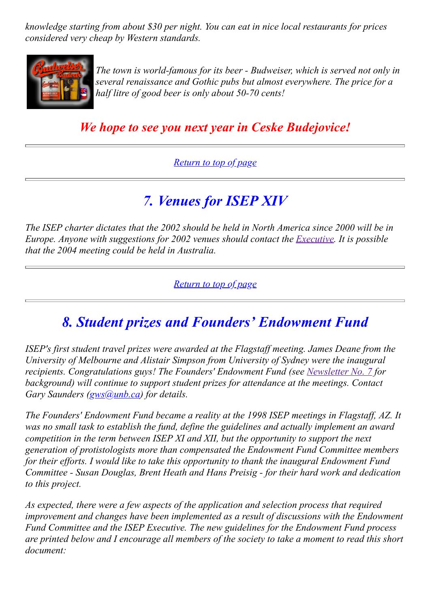*knowledge starting from about \$30 per night. You can eat in nice local restaurants for prices considered very cheap by Western standards.*



*The town is world-famous for its beer - Budweiser, which is served not only in several renaissance and Gothic pubs but almost everywhere. The price for a half litre of good beer is only about 50-70 cents!*

# *We hope to see you next year in Ceske Budejovice!*

## *[Return to top of page](http://megasun.bch.umontreal.ca/isep/news8.html#top)*

# *7. Venues for ISEP XIV*

*The ISEP charter dictates that the 2002 should be held in North America since 2000 will be in Europe. Anyone with suggestions for 2002 venues should contact the [Executive.](http://megasun.bch.umontreal.ca/isep/officers00.html) It is possible that the 2004 meeting could be held in Australia.*

*[Return to top of page](http://megasun.bch.umontreal.ca/isep/news8.html#top)*

# *8. Student prizes and Founders' Endowment Fund*

*ISEP's first student travel prizes were awarded at the Flagstaff meeting. James Deane from the University of Melbourne and Alistair Simpson from University of Sydney were the inaugural recipients. Congratulations guys! The Founders' Endowment Fund (see [Newsletter No. 7](http://megasun.bch.umontreal.ca/isep/news7.html) for background) will continue to support student prizes for attendance at the meetings. Contact Gary Saunders [\(gws@unb.ca](mailto:gws@unb.ca)) for details.*

*The Founders' Endowment Fund became a reality at the 1998 ISEP meetings in Flagstaff, AZ. It was no small task to establish the fund, define the guidelines and actually implement an award competition in the term between ISEP XI and XII, but the opportunity to support the next generation of protistologists more than compensated the Endowment Fund Committee members for their efforts. I would like to take this opportunity to thank the inaugural Endowment Fund Committee - Susan Douglas, Brent Heath and Hans Preisig - for their hard work and dedication to this project.*

*As expected, there were a few aspects of the application and selection process that required improvement and changes have been implemented as a result of discussions with the Endowment Fund Committee and the ISEP Executive. The new guidelines for the Endowment Fund process are printed below and I encourage all members of the society to take a moment to read this short document:*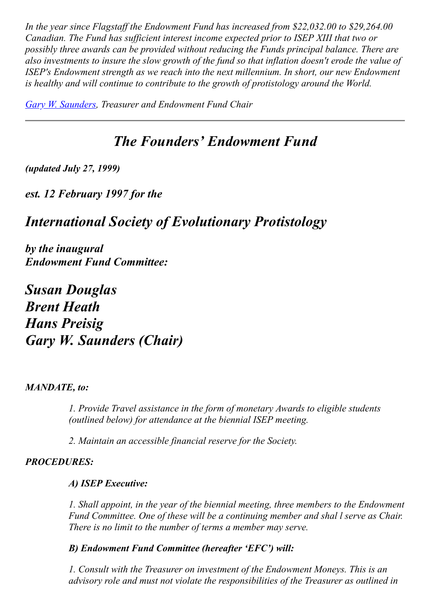*In the year since Flagstaff the Endowment Fund has increased from \$22,032.00 to \$29,264.00 Canadian. The Fund has sufficient interest income expected prior to ISEP XIII that two or possibly three awards can be provided without reducing the Funds principal balance. There are also investments to insure the slow growth of the fund so that inflation doesn't erode the value of ISEP's Endowment strength as we reach into the next millennium. In short, our new Endowment is healthy and will continue to contribute to the growth of protistology around the World.*

*[Gary W. Saunders](http://megasun.bch.umontreal.ca/isep/officers00.html#Gazza), Treasurer and Endowment Fund Chair*

# *The Founders' Endowment Fund*

*(updated July 27, 1999)*

*est. 12 February 1997 for the*

# *International Society of Evolutionary Protistology*

*by the inaugural Endowment Fund Committee:*

*Susan Douglas Brent Heath Hans Preisig Gary W. Saunders (Chair)*

#### *MANDATE, to:*

*1. Provide Travel assistance in the form of monetary Awards to eligible students (outlined below) for attendance at the biennial ISEP meeting.*

*2. Maintain an accessible financial reserve for the Society.*

## *PROCEDURES:*

#### *A) ISEP Executive:*

*1. Shall appoint, in the year of the biennial meeting, three members to the Endowment Fund Committee. One of these will be a continuing member and shal l serve as Chair. There is no limit to the number of terms a member may serve.*

*B) Endowment Fund Committee (hereafter 'EFC') will:*

*1. Consult with the Treasurer on investment of the Endowment Moneys. This is an advisory role and must not violate the responsibilities of the Treasurer as outlined in*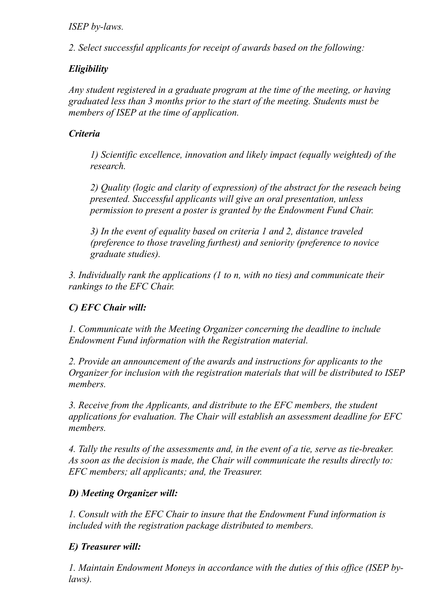### *ISEP by-laws.*

*2. Select successful applicants for receipt of awards based on the following:*

## *Eligibility*

*Any student registered in a graduate program at the time of the meeting, or having graduated less than 3 months prior to the start of the meeting. Students must be members of ISEP at the time of application.*

## *Criteria*

*1) Scientific excellence, innovation and likely impact (equally weighted) of the research.*

*2) Quality (logic and clarity of expression) of the abstract for the reseach being presented. Successful applicants will give an oral presentation, unless permission to present a poster is granted by the Endowment Fund Chair.*

*3) In the event of equality based on criteria 1 and 2, distance traveled (preference to those traveling furthest) and seniority (preference to novice graduate studies).*

*3. Individually rank the applications (1 to n, with no ties) and communicate their rankings to the EFC Chair.*

## *C) EFC Chair will:*

*1. Communicate with the Meeting Organizer concerning the deadline to include Endowment Fund information with the Registration material.*

*2. Provide an announcement of the awards and instructions for applicants to the Organizer for inclusion with the registration materials that will be distributed to ISEP members.*

*3. Receive from the Applicants, and distribute to the EFC members, the student applications for evaluation. The Chair will establish an assessment deadline for EFC members.*

*4. Tally the results of the assessments and, in the event of a tie, serve as tie-breaker. As soon as the decision is made, the Chair will communicate the results directly to: EFC members; all applicants; and, the Treasurer.*

## *D) Meeting Organizer will:*

*1. Consult with the EFC Chair to insure that the Endowment Fund information is included with the registration package distributed to members.*

## *E) Treasurer will:*

*1. Maintain Endowment Moneys in accordance with the duties of this office (ISEP bylaws).*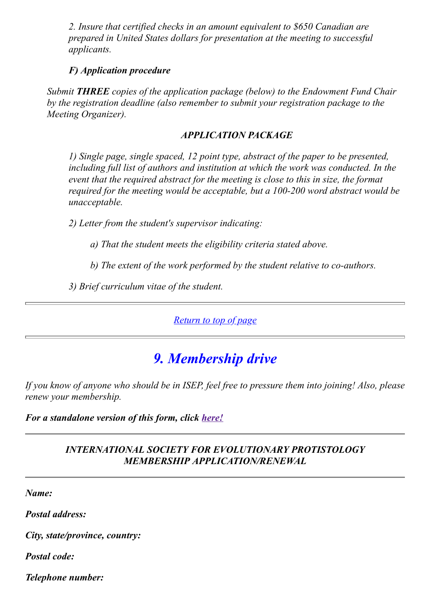*2. Insure that certified checks in an amount equivalent to \$650 Canadian are prepared in United States dollars for presentation at the meeting to successful applicants.*

### *F) Application procedure*

*Submit THREE copies of the application package (below) to the Endowment Fund Chair by the registration deadline (also remember to submit your registration package to the Meeting Organizer).*

### *APPLICATION PACKAGE*

*1) Single page, single spaced, 12 point type, abstract of the paper to be presented, including full list of authors and institution at which the work was conducted. In the event that the required abstract for the meeting is close to this in size, the format required for the meeting would be acceptable, but a 100-200 word abstract would be unacceptable.*

*2) Letter from the student's supervisor indicating:*

*a) That the student meets the eligibility criteria stated above.*

*b) The extent of the work performed by the student relative to co-authors.*

*3) Brief curriculum vitae of the student.*

*[Return to top of page](http://megasun.bch.umontreal.ca/isep/news8.html#top)*

# *9. Membership drive*

*If you know of anyone who should be in ISEP, feel free to pressure them into joining! Also, please renew your membership.*

*For a standalone version of this form, click [here!](http://megasun.bch.umontreal.ca/isep/join.html)*

### *INTERNATIONAL SOCIETY FOR EVOLUTIONARY PROTISTOLOGY MEMBERSHIP APPLICATION/RENEWAL*

*Name:*

*Postal address:*

*City, state/province, country:*

*Postal code:*

*Telephone number:*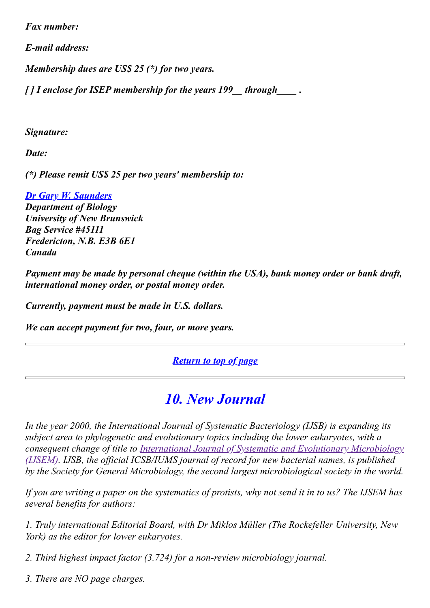*Fax number:*

*E-mail address:*

*Membership dues are US\$ 25 (\*) for two years.*

*[ ] I enclose for ISEP membership for the years 199\_\_ through\_\_\_\_ .*

*Signature:*

*Date:*

*(\*) Please remit US\$ 25 per two years' membership to:*

*[Dr Gary W. Saunders](http://megasun.bch.umontreal.ca/isep/officers00.html#Gazza) Department of Biology University of New Brunswick Bag Service #45111 Fredericton, N.B. E3B 6E1 Canada*

*Payment may be made by personal cheque (within the USA), bank money order or bank draft, international money order, or postal money order.*

*Currently, payment must be made in U.S. dollars.*

*We can accept payment for two, four, or more years.*

*[Return to top of page](http://megasun.bch.umontreal.ca/isep/news8.html#top)*

# *10. New Journal*

*In the year 2000, the International Journal of Systematic Bacteriology (IJSB) is expanding its subject area to phylogenetic and evolutionary topics including the lower eukaryotes, with a [consequent change of title to International Journal of Systematic and Evolutionary Microbiology](http://www.socgenmicrobiol.org.uk/IJSB/ijsemnews.htm) (IJSEM). IJSB, the official ICSB/IUMS journal of record for new bacterial names, is published by the Society for General Microbiology, the second largest microbiological society in the world.*

*If you are writing a paper on the systematics of protists, why not send it in to us? The IJSEM has several benefits for authors:*

*1. Truly international Editorial Board, with Dr Miklos Müller (The Rockefeller University, New York) as the editor for lower eukaryotes.*

*2. Third highest impact factor (3.724) for a non-review microbiology journal.*

*3. There are NO page charges.*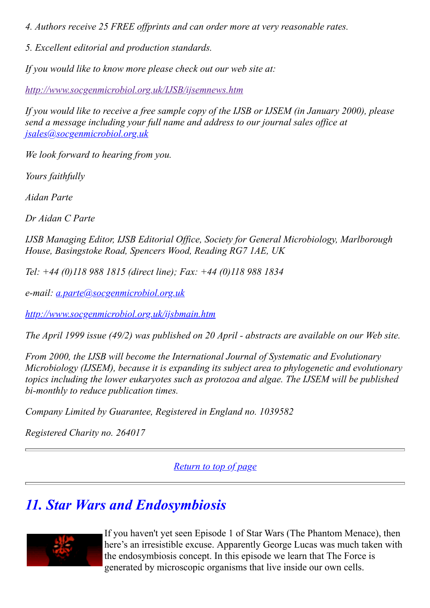*4. Authors receive 25 FREE offprints and can order more at very reasonable rates.*

*5. Excellent editorial and production standards.*

*If you would like to know more please check out our web site at:*

*<http://www.socgenmicrobiol.org.uk/IJSB/ijsemnews.htm>*

*If you would like to receive a free sample copy of the IJSB or IJSEM (in January 2000), please send a message including your full name and address to our journal sales office at [jsales@socgenmicrobiol.org.uk](mailto:jsales@socgenmicrobiol.org.uk)*

*We look forward to hearing from you.*

*Yours faithfully*

*Aidan Parte*

*Dr Aidan C Parte*

*IJSB Managing Editor, IJSB Editorial Office, Society for General Microbiology, Marlborough House, Basingstoke Road, Spencers Wood, Reading RG7 1AE, UK*

*Tel: +44 (0)118 988 1815 (direct line); Fax: +44 (0)118 988 1834*

*e-mail: [a.parte@socgenmicrobiol.org.uk](mailto:a.parte@socgenmicrobiol.org.uk)*

*<http://www.socgenmicrobiol.org.uk/ijsbmain.htm>*

*The April 1999 issue (49/2) was published on 20 April - abstracts are available on our Web site.*

*From 2000, the IJSB will become the International Journal of Systematic and Evolutionary Microbiology (IJSEM), because it is expanding its subject area to phylogenetic and evolutionary topics including the lower eukaryotes such as protozoa and algae. The IJSEM will be published bi-monthly to reduce publication times.*

*Company Limited by Guarantee, Registered in England no. 1039582*

*Registered Charity no. 264017*

*[Return to top of page](http://megasun.bch.umontreal.ca/isep/news8.html#top)*

# *11. Star Wars and Endosymbiosis*



If you haven't yet seen Episode 1 of Star Wars (The Phantom Menace), then here's an irresistible excuse. Apparently George Lucas was much taken with the endosymbiosis concept. In this episode we learn that The Force is generated by microscopic organisms that live inside our own cells.